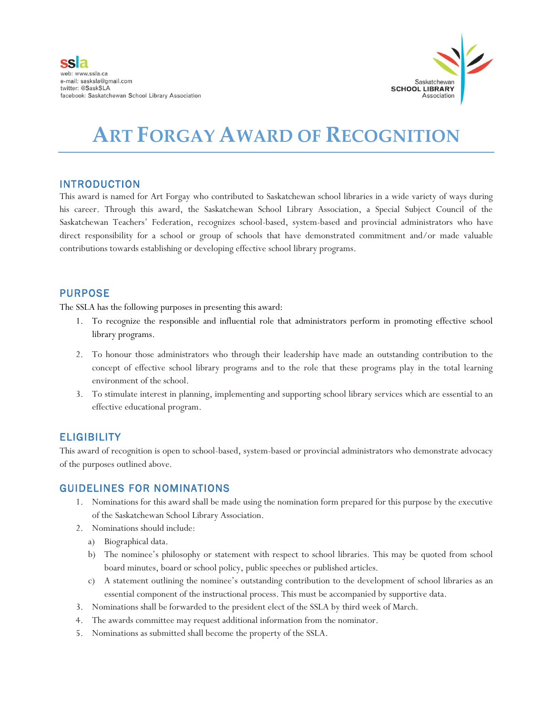

# **ART FORGAY AWARD OF RECOGNITION**

## INTRODUCTION

This award is named for Art Forgay who contributed to Saskatchewan school libraries in a wide variety of ways during his career. Through this award, the Saskatchewan School Library Association, a Special Subject Council of the Saskatchewan Teachers' Federation, recognizes school-based, system-based and provincial administrators who have direct responsibility for a school or group of schools that have demonstrated commitment and/or made valuable contributions towards establishing or developing effective school library programs.

## PURPOSE

The SSLA has the following purposes in presenting this award:

- 1. To recognize the responsible and influential role that administrators perform in promoting effective school library programs.
- 2. To honour those administrators who through their leadership have made an outstanding contribution to the concept of effective school library programs and to the role that these programs play in the total learning environment of the school.
- 3. To stimulate interest in planning, implementing and supporting school library services which are essential to an effective educational program.

## **ELIGIBILITY**

This award of recognition is open to school-based, system-based or provincial administrators who demonstrate advocacy of the purposes outlined above.

## GUIDELINES FOR NOMINATIONS

- 1. Nominations for this award shall be made using the nomination form prepared for this purpose by the executive of the Saskatchewan School Library Association.
- 2. Nominations should include:
	- a) Biographical data.
	- b) The nominee's philosophy or statement with respect to school libraries. This may be quoted from school board minutes, board or school policy, public speeches or published articles.
	- c) A statement outlining the nominee's outstanding contribution to the development of school libraries as an essential component of the instructional process. This must be accompanied by supportive data.
- 3. Nominations shall be forwarded to the president elect of the SSLA by third week of March.
- 4. The awards committee may request additional information from the nominator.
- 5. Nominations as submitted shall become the property of the SSLA.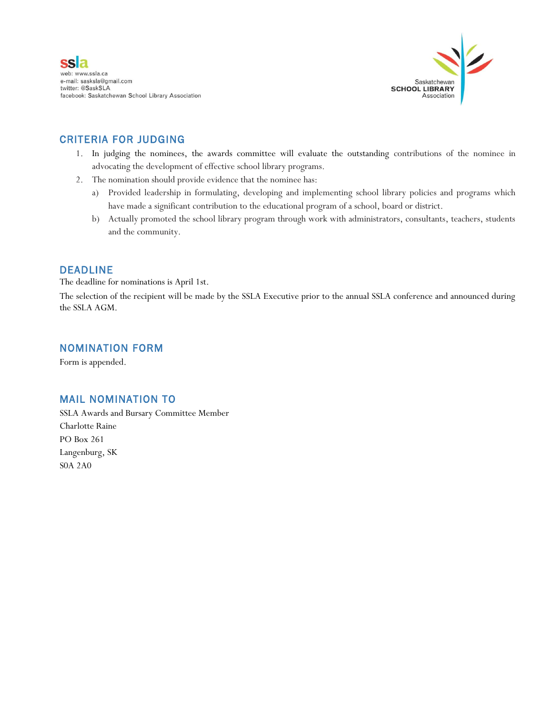



## CRITERIA FOR JUDGING

- 1. In judging the nominees, the awards committee will evaluate the outstanding contributions of the nominee in advocating the development of effective school library programs.
- 2. The nomination should provide evidence that the nominee has:
	- a) Provided leadership in formulating, developing and implementing school library policies and programs which have made a significant contribution to the educational program of a school, board or district.
	- b) Actually promoted the school library program through work with administrators, consultants, teachers, students and the community.

## DEADLINE

The deadline for nominations is April 1st.

The selection of the recipient will be made by the SSLA Executive prior to the annual SSLA conference and announced during the SSLA AGM.

#### NOMINATION FORM

Form is appended.

## MAIL NOMINATION TO

SSLA Awards and Bursary Committee Member Charlotte Raine PO Box 261 Langenburg, SK S0A 2A0